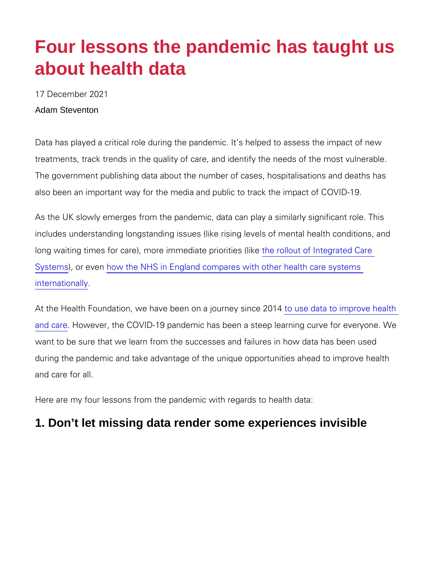# Four lessons the pandemic has taught us about health data

17 December 2021 Adam Steventon

Data has played a critical role during the pandemic. It s helped to treatments, track trends in the quality of care, and identify the ne The government publishing data about the number of cases, hospi also been an important way for the media and public to track the

As the UK slowly emerges from the pandemic, data can play a sim includes understanding longstanding issues (like rising levels of long waiting times for care), more im**mheediate optiofithets glake**d Car [Syste](https://www.health.org.uk/publications/long-reads/have-integrated-care-programmes-reduced-emergency-admissions)ms or evew the NHS in England compares with other health ca [internati](http://alumni.health.org.uk/publications/long-reads/caring-for-older-patients-with-complex-needs)onally .

At the Health Foundation, we have been of as poulantay tosince prace 4ho [and c](http://alumni.health.org.uk/what-we-do/data-analytics)arteowever, the COVID-19 pandemic has been a steep learnin want to be sure that we learn from the successes and failures in during the pandemic and take advantage of the unique opportuniti and care for all.

Here are my four lessons from the pandemic with regards to healt

1. Don't let missing data render some experiences invisible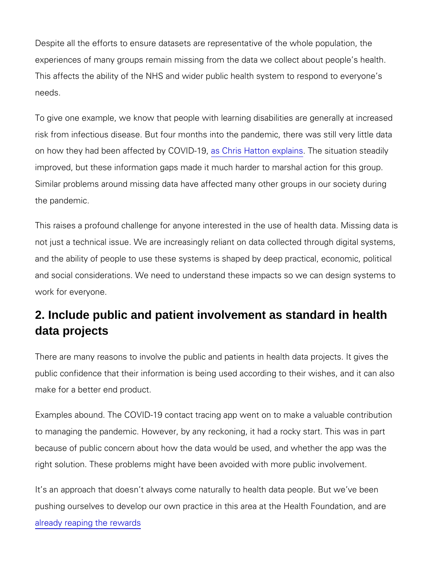Despite all the efforts to ensure datasets are representative of th experiences of many groups remain missing from the data we coll This affects the ability of the NHS and wider public health system needs.

To give one example, we know that people with learning disabiliti risk from infectious disease. But four months into the pandemic, t on how they had been affecteads bCyhCi©IVH Dot-tolon, eTxhpelasiint station steadi improved, but these information gaps made it much harder to mars Similar problems around missing data have affected many other g the pandemic.

This raises a profound challenge for anyone interested in the use not just a technical issue. We are increasingly reliant on data co and the ability of people to use these systems is shaped by deep and social considerations. We need to understand these impacts s work for everyone.

### 2. Include public and patient involvement as standard in health data projects

There are many reasons to involve the public and patients in heal public confidence that their information is being used according t make for a better end product.

Examples abound. The COVID-19 contact tracing app went on to m to managing the pandemic. However, by any reckoning, it had a ro because of public concern about how the data would be used, and right solution. These problems might have been avoided with more

It s an approach that doesn t always come naturally to health dat pushing ourselves to develop our own practice in this area at the [already reaping t](https://medium.com/@fkmckenzie/weeknote-14-to-18-october-2019-777e476a174)he rewards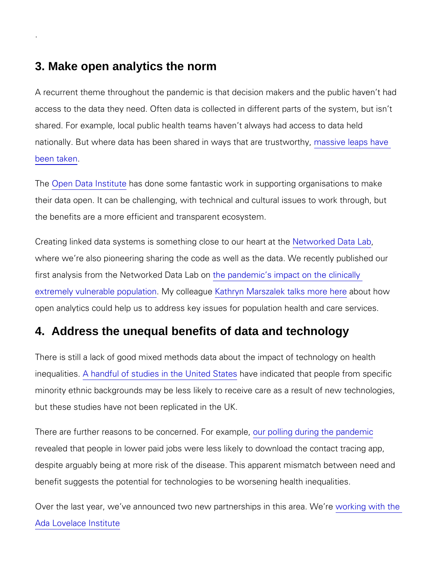#### 3. Make open analytics the norm

.

A recurrent theme throughout the pandemic is that decision maker access to the data they need. Often data is collected in different shared. For example, local public health teams haven t always ha nationally. But where data has been shared inmwa**a**ys iv that approchtarust [been ta](https://medium.com/healthfdn-data-analytics/collaboration-in-a-time-of-crisis-9a7f6a61324b)ken

The **Open Data Inhaisudene** some fantastic work in supporting organisations to make the make their data open. It can be challenging, with technical and cultura the benefits are a more efficient and transparent ecosystem.

Creating linked data systems is something Noeltowsoer **ke** do OD rahæd at the [Networked Da](http://alumni.health.org.uk/funding-and-partnerships/our-partnerships/the-networked-data-lab)ta Lab at th where we re also pioneering sharing the code as well as the data first analysis from the Network bedp **Dad** a chab son mpact on the clinical [extremely vulnerabl](http://alumni.health.org.uk/publications/reports/assessing-the-impact-of-covid-19-on-the-clinically-extremely-vulnerable-population)e Moyporolaltelos agunheryn Marszalek talkas bon wort en ohwe re open analytics could help us to address key issues for population

#### 4. Address the unequal benefits of data and technology

There is still a lack of good mixed methods data about the impact inequali<mark>A i chsa n d ful of studies in the halvneitendd iSctaatteeds</mark> that people from minority ethnic backgrounds may be less likely to receive care as but these studies have not been replicated in the UK.

There are further reasons to be concernpeodlinfigrdeux ammyptee pandemic revealed that people in lower paid jobs were less likely to downlo despite arguably being at more risk of the disease. This apparent benefit suggests the potential for technologies to be worsening h

Over the last year, we ve announced two new partwrearks in to switch tthis [Ada Lovelace](http://alumni.health.org.uk/funding-and-partnerships/our-partnerships/data-driven-systems-and-health-inequalities) Institute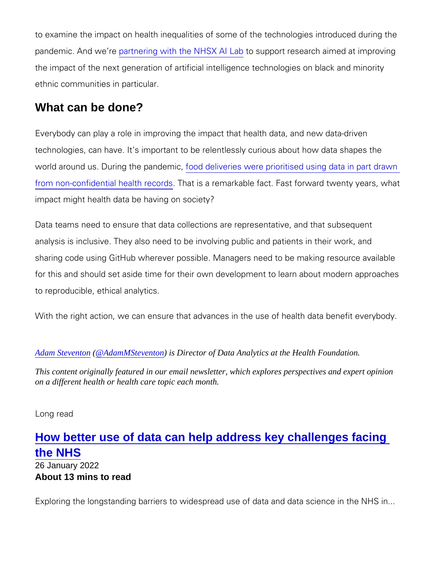to examine the impact on health inequalithiness constitution of during the some that the technology in the the pandemic. And we reering with the NHOS Xuppolatore search aimed at in the impact of the next generation of artificial intelligence technol ethnic communities in particular.

#### What can be done?

Everybody can play a role in improving the impact that health dat technologies, can have. It s important to be relentlessly curious a world around us. During fbedpd a diemanices were prioritised using data [from non-confidential h](https://www.gov.uk/government/publications/get-support-if-youre-clinically-extremely-vulnerable-to-coronavirus-privacy-notice/get-coronavirus-support-as-a-clinically-extremely-vulnerable-person-privacy-notice)ealth ris cap redesmarkable fact. Fast forward tv impact might health data be having on society?

Data teams need to ensure that data collections are representativ analysis is inclusive. They also need to be involving public and p sharing codeGutsHuwbherever possible. Managers need to be making for this and should set aside time for their own development to le to reproducible, ethical analytics.

With the right action, we can ensure that advances in the use of  $\mathsf I$ 

[Adam Stevento](https://www.health.org.uk/about-the-health-foundation/our-people/directors-team/adam-steventon)[n](https://twitter.com/AdamMSteventon)@AdamMSteventorisDirector of Data Analytics at the Health Foundation.

This content originally featured in our email newsletter, which explores perspectives and expert opinion on a different health or health care topic each month.

#### Long read

[How better use of data can help address key challenges facing](http://alumni.health.org.uk/publications/long-reads/how-better-use-of-data-can-help-address-key-challenges-facing-the-nhs)  [the NHS](http://alumni.health.org.uk/publications/long-reads/how-better-use-of-data-can-help-address-key-challenges-facing-the-nhs) 26 January 2022 About 13 mins to read

Exploring the longstanding barriers to widespread use of data and